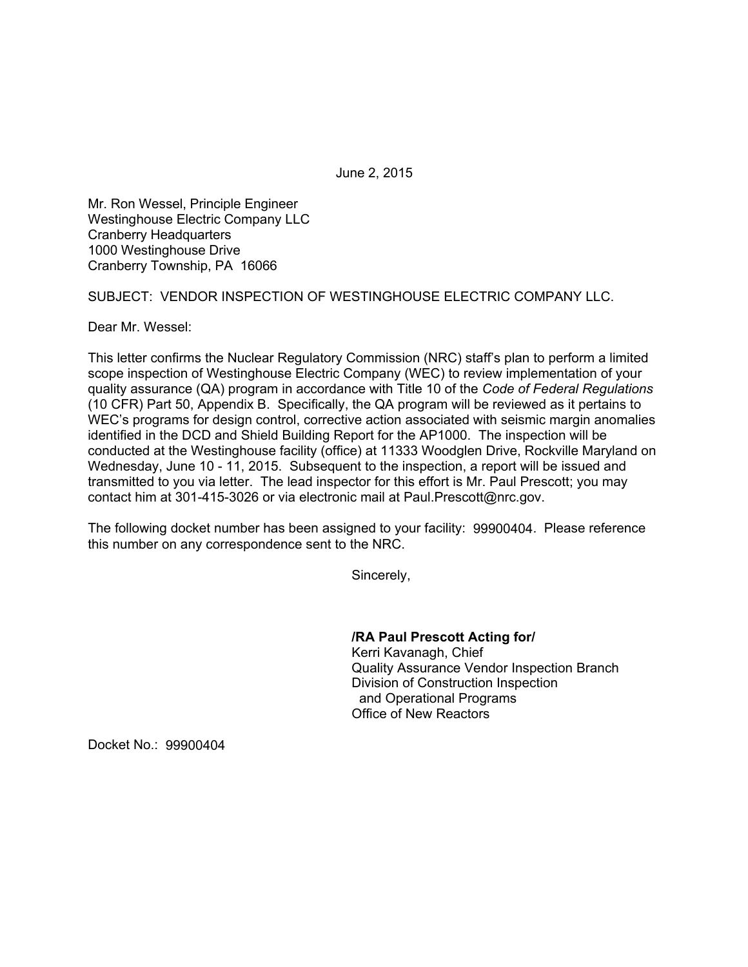June 2, 2015

Mr. Ron Wessel, Principle Engineer Westinghouse Electric Company LLC Cranberry Headquarters 1000 Westinghouse Drive Cranberry Township, PA 16066

SUBJECT: VENDOR INSPECTION OF WESTINGHOUSE ELECTRIC COMPANY LLC.

Dear Mr. Wessel:

This letter confirms the Nuclear Regulatory Commission (NRC) staff's plan to perform a limited scope inspection of Westinghouse Electric Company (WEC) to review implementation of your quality assurance (QA) program in accordance with Title 10 of the *Code of Federal Regulations*  (10 CFR) Part 50, Appendix B. Specifically, the QA program will be reviewed as it pertains to WEC's programs for design control, corrective action associated with seismic margin anomalies identified in the DCD and Shield Building Report for the AP1000. The inspection will be conducted at the Westinghouse facility (office) at 11333 Woodglen Drive, Rockville Maryland on Wednesday, June 10 - 11, 2015. Subsequent to the inspection, a report will be issued and transmitted to you via letter. The lead inspector for this effort is Mr. Paul Prescott; you may contact him at 301-415-3026 or via electronic mail at Paul.Prescott@nrc.gov.

The following docket number has been assigned to your facility: 99900404. Please reference this number on any correspondence sent to the NRC.

Sincerely,

**/RA Paul Prescott Acting for/** 

 Kerri Kavanagh, Chief Quality Assurance Vendor Inspection Branch Division of Construction Inspection and Operational Programs Office of New Reactors

Docket No.: 99900404